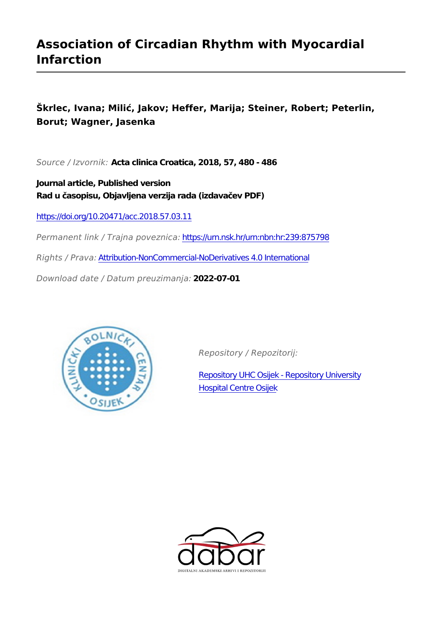# **Association of Circadian Rhythm with Myocardial Infarction**

**Škrlec, Ivana; Milić, Jakov; Heffer, Marija; Steiner, Robert; Peterlin, Borut; Wagner, Jasenka**

*Source / Izvornik:* **Acta clinica Croatica, 2018, 57, 480 - 486**

**Journal article, Published version Rad u časopisu, Objavljena verzija rada (izdavačev PDF)**

<https://doi.org/10.20471/acc.2018.57.03.11>

*Permanent link / Trajna poveznica:* <https://urn.nsk.hr/urn:nbn:hr:239:875798>

*Rights / Prava:* [Attribution-NonCommercial-NoDerivatives 4.0 International](http://creativecommons.org/licenses/by-nc-nd/4.0/)

*Download date / Datum preuzimanja:* **2022-07-01**



*Repository / Repozitorij:*

[Repository UHC Osijek - Repository University](https://repozitorij.kbco.hr) [Hospital Centre Osijek](https://repozitorij.kbco.hr)

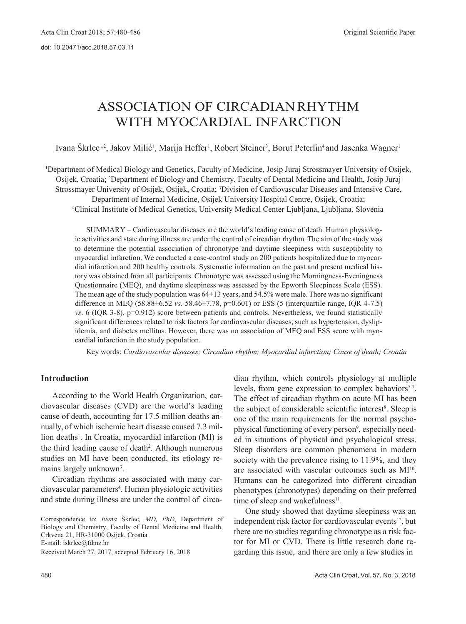## ASSOCIATION OF CIRCADIANRHYTHM WITH MYOCARDIAL INFARCTION

Ivana Škrlec<sup>1,2</sup>, Jakov Milić<sup>1</sup>, Marija Heffer<sup>1</sup>, Robert Steiner<sup>3</sup>, Borut Peterlin<sup>4</sup> and Jasenka Wagner<sup>1</sup>

<sup>1</sup>Department of Medical Biology and Genetics, Faculty of Medicine, Josip Juraj Strossmayer University of Osijek, Osijek, Croatia; 2Department of Biology and Chemistry, Faculty of Dental Medicine and Health, Josip Juraj Strossmayer University of Osijek, Osijek, Croatia; 3Division of Cardiovascular Diseases and Intensive Care, Department of Internal Medicine, Osijek University Hospital Centre, Osijek, Croatia; <sup>4</sup>Clinical Institute of Medical Genetics, University Medical Center Ljubljana, Ljubljana, Slovenia

SUMMARY – Cardiovascular diseases are the world's leading cause of death. Human physiologic activities and state during illness are under the control of circadian rhythm. The aim of the study was to determine the potential association of chronotype and daytime sleepiness with susceptibility to myocardial infarction. We conducted a case-control study on 200 patients hospitalized due to myocardial infarction and 200 healthy controls. Systematic information on the past and present medical history was obtained from all participants. Chronotype was assessed using the Morningness-Eveningness Questionnaire (MEQ), and daytime sleepiness was assessed by the Epworth Sleepiness Scale (ESS). The mean age of the study population was 64±13 years, and 54.5% were male. There was no significant difference in MEQ (58.88±6.52 *vs*. 58.46±7.78, p=0.601) or ESS (5 (interquartile range, IQR 4-7.5) *vs*. 6 (IQR 3-8), p=0.912) score between patients and controls. Nevertheless, we found statistically significant differences related to risk factors for cardiovascular diseases, such as hypertension, dyslipidemia, and diabetes mellitus. However, there was no association of MEQ and ESS score with myocardial infarction in the study population.

Key words: *Cardiovascular diseases; Circadian rhythm; Myocardial infarction; Cause of death; Croatia*

## **Introduction**

According to the World Health Organization, cardiovascular diseases (CVD) are the world's leading cause of death, accounting for 17.5 million deaths annually, of which ischemic heart disease caused 7.3 million deaths<sup>1</sup>. In Croatia, myocardial infarction (MI) is the third leading cause of death<sup>2</sup>. Although numerous studies on MI have been conducted, its etiology remains largely unknown<sup>3</sup>.

Circadian rhythms are associated with many cardiovascular parameters<sup>4</sup>. Human physiologic activities and state during illness are under the control of circadian rhythm, which controls physiology at multiple levels, from gene expression to complex behaviors<sup>5-7</sup>. The effect of circadian rhythm on acute MI has been the subject of considerable scientific interest<sup>8</sup>. Sleep is one of the main requirements for the normal psychophysical functioning of every person<sup>9</sup>, especially needed in situations of physical and psychological stress. Sleep disorders are common phenomena in modern society with the prevalence rising to 11.9%, and they are associated with vascular outcomes such as MI<sup>10</sup>. Humans can be categorized into different circadian phenotypes (chronotypes) depending on their preferred time of sleep and wakefulness $11$ .

One study showed that daytime sleepiness was an independent risk factor for cardiovascular events<sup>12</sup>, but there are no studies regarding chronotype as a risk factor for MI or CVD. There is little research done regarding this issue, and there are only a few studies in

Correspondence to: *Ivana* Škrlec*, MD, PhD*, Department of Biology and Chemistry, Faculty of Dental Medicine and Health, Crkvena 21, HR-31000 Osijek, Croatia

E-mail[: iskrlec@fdmz.hr](mailto:iskrlec@fdmz.hr)

Received March 27, 2017, accepted February 16, 2018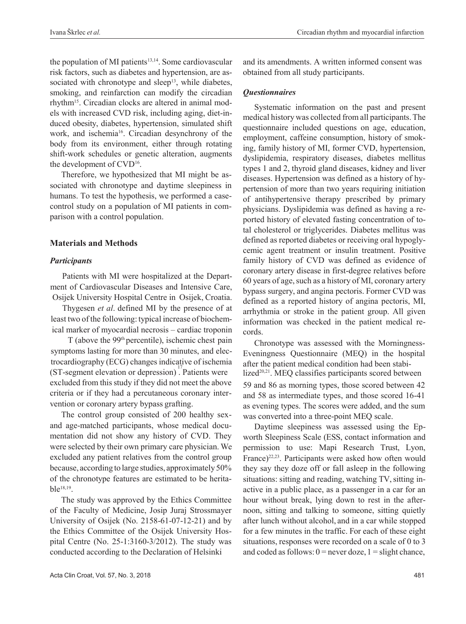the population of MI patients<sup>13,14</sup>. Some cardiovascular risk factors, such as diabetes and hypertension, are associated with chronotype and sleep<sup>13</sup>, while diabetes, smoking, and reinfarction can modify the circadian rhythm15. Circadian clocks are altered in animal models with increased CVD risk, including aging, diet-induced obesity, diabetes, hypertension, simulated shift work, and ischemia<sup>16</sup>. Circadian desynchrony of the body from its environment, either through rotating shift-work schedules or genetic alteration, augments the development of CVD<sup>16</sup>.

Therefore, we hypothesized that MI might be associated with chronotype and daytime sleepiness in humans. To test the hypothesis, we performed a casecontrol study on a population of MI patients in comparison with a control population.

## **Materials and Methods**

### *Participants*

Patients with MI were hospitalized at the Department of Cardiovascular Diseases and Intensive Care, Osijek University Hospital Centre in Osijek, Croatia.

Thygesen *et al*. defined MI by the presence of at least two of the following: typical increase of biochemical marker of myocardial necrosis – cardiac troponin

T (above the 99th percentile), ischemic chest pain symptoms lasting for more than 30 minutes, and electrocardiography (ECG) changes indicative of ischemia (ST-segment elevation or depression). Patients were excluded from this study if they did not meet the above criteria or if they had a percutaneous coronary intervention or coronary artery bypass grafting.

The control group consisted of 200 healthy sexand age-matched participants, whose medical documentation did not show any history of CVD. They were selected by their own primary care physician. We excluded any patient relatives from the control group because, according to large studies, approximately 50% of the chronotype features are estimated to be heritable18,19 .

The study was approved by the Ethics Committee of the Faculty of Medicine, Josip Juraj Strossmayer University of Osijek (No. 2158-61-07-12-21) and by the Ethics Committee of the Osijek University Hospital Centre (No. 25-1:3160-3/2012). The study was conducted according to the Declaration of Helsinki

and its amendments. A written informed consent was obtained from all study participants.

## *Questionnaires*

Systematic information on the past and present medical history was collected fromall participants.The questionnaire included questions on age, education, employment, caffeine consumption, history of smoking, family history of MI, former CVD, hypertension, dyslipidemia, respiratory diseases, diabetes mellitus types 1 and 2, thyroid gland diseases, kidney and liver diseases. Hypertension was defined as a history of hypertension of more than two years requiring initiation of antihypertensive therapy prescribed by primary physicians. Dyslipidemia was defined as having a reported history of elevated fasting concentration of total cholesterol or triglycerides. Diabetes mellitus was defined as reported diabetes or receiving oral hypoglycemic agent treatment or insulin treatment. Positive family history of CVD was defined as evidence of coronary artery disease in first-degree relatives before 60 years of age,such as a history of MI, coronary artery bypass surgery, and angina pectoris. Former CVD was defined as a reported history of angina pectoris, MI, arrhythmia or stroke in the patient group. All given information was checked in the patient medical records.

Chronotype was assessed with the Morningness-Eveningness Questionnaire (MEQ) in the hospital after the patient medical condition had been stabi lized<sup>20,21</sup>. MEQ classifies participants scored between 59 and 86 as morning types, those scored between 42 and 58 as intermediate types, and those scored 16-41 as evening types. The scores were added, and the sum was converted into a three-point MEQ scale.

Daytime sleepiness was assessed using the Epworth Sleepiness Scale (ESS, contact information and permission to use: Mapi Research Trust, Lyon, France)<sup>22,23</sup>. Participants were asked how often would they say they doze off or fall asleep in the following situations: sitting and reading, watching TV, sitting inactive in a public place, as a passenger in a car for an hour without break, lying down to rest in the afternoon, sitting and talking to someone, sitting quietly after lunch without alcohol, and in a car while stopped for a few minutes in the traffic. For each of these eight situations, responses were recorded on a scale of 0 to 3 and coded as follows:  $0 =$  never doze,  $1 =$  slight chance,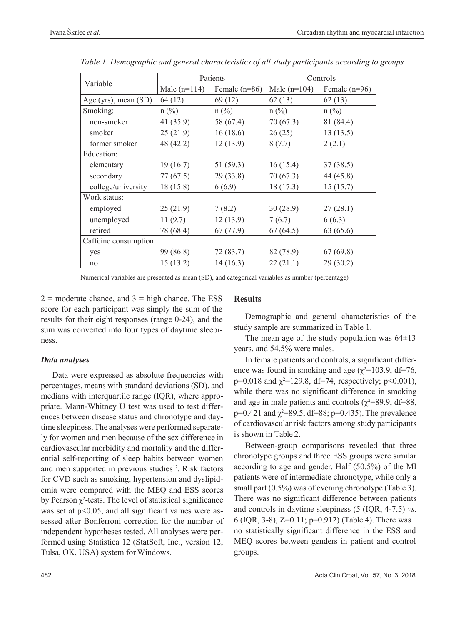| Variable              | Patients       |                 | Controls       |                 |
|-----------------------|----------------|-----------------|----------------|-----------------|
|                       | Male $(n=114)$ | Female $(n=86)$ | Male $(n=104)$ | Female $(n=96)$ |
| Age (yrs), mean (SD)  | 64(12)         | 69(12)          | 62(13)         | 62(13)          |
| Smoking:              | $n(^{0}/_{0})$ | $n$ (%)         | $n(^{0}/_{0})$ | $n(^{0}/_{0})$  |
| non-smoker            | 41(35.9)       | 58 (67.4)       | 70 (67.3)      | 81 (84.4)       |
| smoker                | 25(21.9)       | 16(18.6)        | 26(25)         | 13(13.5)        |
| former smoker         | 48 (42.2)      | 12(13.9)        | 8(7.7)         | 2(2.1)          |
| Education:            |                |                 |                |                 |
| elementary            | 19(16.7)       | 51(59.3)        | 16(15.4)       | 37(38.5)        |
| secondary             | 77(67.5)       | 29(33.8)        | 70(67.3)       | 44 (45.8)       |
| college/university    | 18(15.8)       | 6(6.9)          | 18(17.3)       | 15(15.7)        |
| Work status:          |                |                 |                |                 |
| employed              | 25(21.9)       | 7(8.2)          | 30(28.9)       | 27(28.1)        |
| unemployed            | 11(9.7)        | 12(13.9)        | 7(6.7)         | 6(6.3)          |
| retired               | 78 (68.4)      | 67(77.9)        | 67(64.5)       | 63(65.6)        |
| Caffeine consumption: |                |                 |                |                 |
| yes                   | 99 (86.8)      | 72 (83.7)       | 82 (78.9)      | 67(69.8)        |
| no                    | 15(13.2)       | 14(16.3)        | 22(21.1)       | 29(30.2)        |

*Table 1. Demographic and general characteristics of all study participants according to groups*

Numerical variables are presented as mean (SD), and categorical variables as number (percentage)

 $2 =$  moderate chance, and  $3 =$  high chance. The ESS score for each participant was simply the sum of the results for their eight responses (range 0-24), and the sum was converted into four types of daytime sleepiness.

## *Data analyses*

Data were expressed as absolute frequencies with percentages, means with standard deviations (SD), and medians with interquartile range (IQR), where appropriate. Mann-Whitney U test was used to test differences between disease status and chronotype and daytime sleepiness.The analyses were performed separately for women and men because of the sex difference in cardiovascular morbidity and mortality and the differential self-reporting of sleep habits between women and men supported in previous studies<sup>12</sup>. Risk factors for CVD such as smoking, hypertension and dyslipidemia were compared with the MEQ and ESS scores by Pearson  $\chi^2$ -tests. The level of statistical significance was set at  $p<0.05$ , and all significant values were assessed after Bonferroni correction for the number of independent hypotheses tested. All analyses were performed using Statistica 12 (StatSoft, Inc., version 12, Tulsa, OK, USA) system for Windows.

## **Results**

Demographic and general characteristics of the study sample are summarized in Table 1.

The mean age of the study population was  $64\pm13$ years, and 54.5% were males.

In female patients and controls, a significant difference was found in smoking and age ( $\chi^2$ =103.9, df=76, p=0.018 and  $\chi^2$ =129.8, df=74, respectively; p<0.001), while there was no significant difference in smoking and age in male patients and controls ( $\gamma^2$ =89.9, df=88, p=0.421 and  $\chi^2$ =89.5, df=88; p=0.435). The prevalence of cardiovascular risk factors among study participants is shown in Table 2.

Between-group comparisons revealed that three chronotype groups and three ESS groups were similar according to age and gender. Half (50.5%) of the MI patients were of intermediate chronotype, while only a small part  $(0.5\%)$  was of evening chronotype (Table 3). There was no significant difference between patients and controls in daytime sleepiness (5 (IQR, 4-7.5) *vs*. 6 (IQR, 3-8), Z=0.11; p=0.912) (Table 4). There was no statistically significant difference in the ESS and MEQ scores between genders in patient and control groups.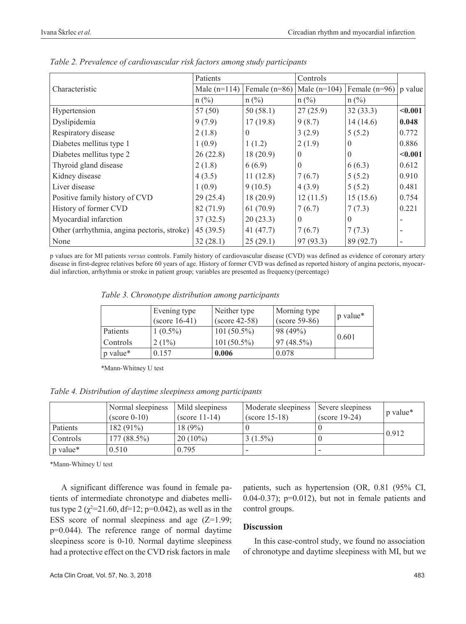|                                             | Patients       |                 | Controls       |                 |         |
|---------------------------------------------|----------------|-----------------|----------------|-----------------|---------|
| Characteristic                              | Male $(n=114)$ | Female $(n=86)$ | Male $(n=104)$ | Female $(n=96)$ | p value |
|                                             | $n$ (%)        | $n(^{0}/_{0})$  | $n$ (%)        | $n$ (%)         |         |
| Hypertension                                | 57(50)         | 50(58.1)        | 27(25.9)       | 32(33.3)        | < 0.001 |
| Dyslipidemia                                | 9(7.9)         | 17(19.8)        | 9(8.7)         | 14(14.6)        | 0.048   |
| Respiratory disease                         | 2(1.8)         | $\theta$        | 3(2.9)         | 5(5.2)          | 0.772   |
| Diabetes mellitus type 1                    | 1(0.9)         | 1(1.2)          | 2(1.9)         |                 | 0.886   |
| Diabetes mellitus type 2                    | 26(22.8)       | 18(20.9)        | $\theta$       |                 | < 0.001 |
| Thyroid gland disease                       | 2(1.8)         | 6(6.9)          | $\theta$       | 6(6.3)          | 0.612   |
| Kidney disease                              | 4(3.5)         | 11(12.8)        | 7(6.7)         | 5(5.2)          | 0.910   |
| Liver disease                               | 1(0.9)         | 9(10.5)         | 4(3.9)         | 5(5.2)          | 0.481   |
| Positive family history of CVD              | 29(25.4)       | 18(20.9)        | 12(11.5)       | 15(15.6)        | 0.754   |
| History of former CVD                       | 82 (71.9)      | 61(70.9)        | 7(6.7)         | 7(7.3)          | 0.221   |
| Myocardial infarction                       | 37(32.5)       | 20(23.3)        | $\theta$       | $\theta$        |         |
| Other (arrhythmia, angina pectoris, stroke) | 45(39.5)       | 41(47.7)        | 7(6.7)         | 7(7.3)          |         |
| None                                        | 32(28.1)       | 25(29.1)        | 97 (93.3)      | 89 (92.7)       |         |

*Table 2. Prevalence of cardiovascular risk factors among study participants*

p values are for MI patients *versus* controls. Family history of cardiovascular disease (CVD) was defined as evidence of coronary artery disease in first-degree relatives before 60 years of age. History of former CVD was defined as reported history of angina pectoris, myocardial infarction, arrhythmia or stroke in patient group; variables are presented as frequency(percentage)

*Table 3. Chronotype distribution among participants*

|                 | Evening type<br>$(\text{score } 16-41)$ | Neither type<br>$(score 42-58)$ | Morning type<br>$(score 59-86)$ | p value* |  |
|-----------------|-----------------------------------------|---------------------------------|---------------------------------|----------|--|
| Patients        | $1(0.5\%)$                              | $101(50.5\%)$                   | 98 (49%)                        |          |  |
| <b>Controls</b> | $2(1\%)$                                | $101(50.5\%)$                   | 97 (48.5%)                      | 0.601    |  |
| p value*        | 0.157                                   | 0.006                           | 0.078                           |          |  |

\*Mann-Whitney U test

*Table 4. Distribution of daytime sleepiness among participants*

|          | Normal sleepiness<br>$\left( \text{score } 0\n-10 \right)$ | Mild sleepiness<br>$\left( \text{score } 11 - 14 \right)$ | Moderate sleepiness<br>$\left( \text{score } 15 - 18 \right)$ | Severe sleepiness<br>$(\text{score } 19-24)$ | p value* |
|----------|------------------------------------------------------------|-----------------------------------------------------------|---------------------------------------------------------------|----------------------------------------------|----------|
| Patients | $182(91\%)$                                                | 18(9%)                                                    |                                                               |                                              | 0.912    |
| Controls | $177(88.5\%)$                                              | $20(10\%)$                                                | $3(1.5\%)$                                                    |                                              |          |
| p value* | 0.510                                                      | 0.795                                                     | -                                                             |                                              |          |

\*Mann-Whitney U test

A significant difference was found in female patients of intermediate chronotype and diabetes mellitus type 2 ( $\chi^2$ =21.60, df=12; p=0.042), as well as in the ESS score of normal sleepiness and age  $(Z=1.99)$ ; p=0.044). The reference range of normal daytime sleepiness score is 0-10. Normal daytime sleepiness had a protective effect on the CVD risk factors in male

patients, such as hypertension (OR, 0.81 (95% CI,  $(0.04-0.37)$ ; p= $(0.012)$ , but not in female patients and control groups.

## **Discussion**

In this case-control study, we found no association of chronotype and daytime sleepiness with MI, but we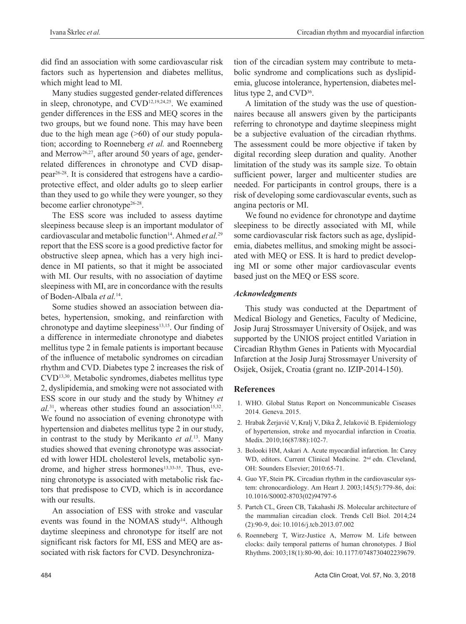did find an association with some cardiovascular risk factors such as hypertension and diabetes mellitus, which might lead to MI.

Many studies suggested gender-related differences in sleep, chronotype, and CVD<sup>12,19,24,25</sup>. We examined gender differences in the ESS and MEQ scores in the two groups, but we found none. This may have been due to the high mean age  $(>= 60)$  of our study population; according to Roenneberg *et al.* and Roenneberg and Merrow<sup>26,27</sup>, after around 50 years of age, genderrelated differences in chronotype and CVD disappear26-28. It is considered that estrogens have a cardioprotective effect, and older adults go to sleep earlier than they used to go while they were younger, so they become earlier chronotype<sup>26-28</sup>.

The ESS score was included to assess daytime sleepiness because sleep is an important modulator of cardiovascular and metabolic function<sup>14</sup>. Ahmed et al.<sup>29</sup> report that the ESS score is a good predictive factor for obstructive sleep apnea, which has a very high incidence in MI patients, so that it might be associated with MI. Our results, with no association of daytime sleepiness with MI, are in concordance with the results of Boden-Albala *et al.*<sup>14</sup> .

Some studies showed an association between diabetes, hypertension, smoking, and reinfarction with chronotype and daytime sleepiness $13,15$ . Our finding of a difference in intermediate chronotype and diabetes mellitus type 2 in female patients is important because of the influence of metabolic syndromes on circadian rhythm and CVD. Diabetes type 2 increases the risk of CVD13,30. Metabolic syndromes, diabetes mellitus type 2, dyslipidemia, and smoking were not associated with ESS score in our study and the study by Whitney *et*   $al^{31}$ , whereas other studies found an association<sup>15,32</sup>. We found no association of evening chronotype with hypertension and diabetes mellitus type 2 in ourstudy, in contrast to the study by Merikanto *et al.*13. Many studies showed that evening chronotype was associated with lower HDL cholesterol levels, metabolic syndrome, and higher stress hormones<sup>13,33-35</sup>. Thus, evening chronotype is associated with metabolic risk factors that predispose to CVD, which is in accordance with our results.

An association of ESS with stroke and vascular events was found in the NOMAS study<sup>14</sup>. Although daytime sleepiness and chronotype for itself are not significant risk factors for MI, ESS and MEQ are associated with risk factors for CVD. Desynchronization of the circadian system may contribute to metabolic syndrome and complications such as dyslipidemia, glucose intolerance, hypertension, diabetes mellitus type 2, and CVD<sup>36</sup>.

A limitation of the study was the use of questionnaires because all answers given by the participants referring to chronotype and daytime sleepiness might be a subjective evaluation of the circadian rhythms. The assessment could be more objective if taken by digital recording sleep duration and quality. Another limitation of the study was its sample size. To obtain sufficient power, larger and multicenter studies are needed. For participants in control groups, there is a risk of developing some cardiovascular events, such as angina pectoris or MI.

We found no evidence for chronotype and daytime sleepiness to be directly associated with MI, while some cardiovascular risk factors such as age, dyslipidemia, diabetes mellitus, and smoking might be associated with MEQ or ESS. It is hard to predict developing MI or some other major cardiovascular events based just on the MEQ or ESS score.

## *Acknowledgments*

This study was conducted at the Department of Medical Biology and Genetics, Faculty of Medicine, Josip Juraj Strossmayer University of Osijek, and was supported by the UNIOS project entitled Variation in Circadian Rhythm Genes in Patients with Myocardial Infarction at the Josip Juraj Strossmayer University of Osijek, Osijek, Croatia (grant no. IZIP-2014-150).

## **References**

- 1. WHO. Global Status Report on Noncommunicable Ciseases 2014. Geneva.2015.
- 2. Hrabak Žerjavić V, Kralj V, Dika Ž, Jelaković B. Epidemiology of hypertension, stroke and myocardial infarction in Croatia. Medix. 2010;16(87/88):102-7.
- 3. Bolooki HM, Askari A. Acute myocardial infarction. In: Carey WD, editors. Current Clinical Medicine. 2<sup>nd</sup> edn. Cleveland, OH: Sounders Elsevier; 2010:65-71.
- 4. Guo YF, Stein PK. Circadian rhythm in the cardiovascular system: chronocardiology. Am Heart J. 2003;145(5):779-86, doi: 10.1016/S0002-8703(02)94797-6
- 5. Partch CL, Green CB, Takahashi JS. Molecular architecture of the mammalian circadian clock. Trends Cell Biol. 2014;24 (2):90-9, doi: 10.1016/j.tcb.2013.07.002
- 6. Roenneberg T, Wirz-Justice A, Merrow M. Life between clocks: daily temporal patterns of human chronotypes. J Biol Rhythms. 2003;18(1):80-90, doi: 10.1177/0748730402239679.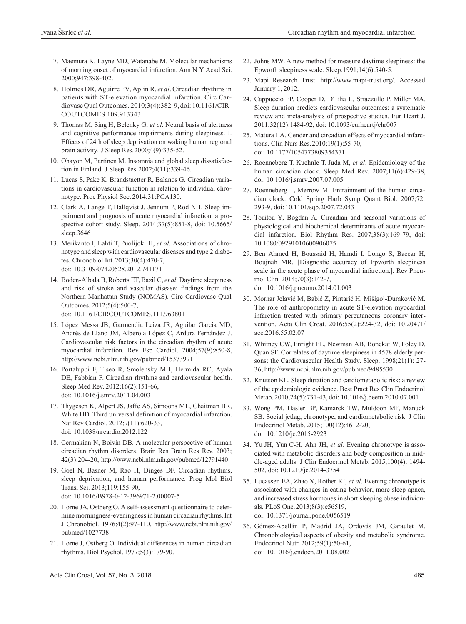- 7. Maemura K, Layne MD, Watanabe M. Molecular mechanisms of morning onset of myocardial infarction. Ann N Y Acad Sci. 2000;947:398-402.
- 8. Holmes DR, Aguirre FV, Aplin R, *et al*.Circadian rhythms in patients with ST-elevation myocardial infarction. Circ Cardiovasc Qual Outcomes. 2010;3(4):382-9, doi: 10.1161/CIR-COUTCOMES.109.913343
- 9. Thomas M, Sing H, Belenky G, *et al*. Neural basis of alertness and cognitive performance impairments during sleepiness. I. Effects of 24 h of sleep deprivation on waking human regional brain activity. J Sleep Res.2000;4(9):335-52.
- 10. Ohayon M, Partinen M. Insomnia and global sleep dissatisfaction in Finland. J Sleep Res.2002;4(11):339-46.
- 11. Lucas S, Pake K, Brandstaetter R, Balanos G. Circadian variations in cardiovascular function in relation to individual chronotype. Proc Physiol Soc.2014;31:PCA130.
- 12. Clark A, Lange T, Hallqvist J, Jennum P, Rod NH. Sleep impairment and prognosis of acute myocardial infarction: a prospective cohort study. Sleep. 2014;37(5):851-8, doi: 10.5665/ sleep.3646
- 13. Merikanto I, Lahti T, Puolijoki H, *et al*. Associations of chronotype and sleep with cardiovascular diseases and type 2 diabetes. Chronobiol Int.2013;30(4):470-7, doi: 10.3109/07420528.2012.741171
- 14. Boden-Albala B, Roberts ET,Bazil C, *et al*. Daytime sleepiness and risk of stroke and vascular disease: findings from the Northern Manhattan Study (NOMAS). Circ Cardiovasc Qual Outcomes. 2012;5(4):500-7,

doi: 10.1161/CIRCOUTCOMES.111.963801

- 15. López Messa JB, Garmendia Leiza JR, Aguilar García MD, Andrés de Llano JM, Alberola López C, Ardura Fernández J. Cardiovascular risk factors in the circadian rhythm of acute myocardial infarction. Rev Esp Cardiol. 2004;57(9):850-8, <http://www.ncbi.nlm.nih.gov/pubmed/15373991>
- 16. Portaluppi F, Tiseo R, Smolensky MH, Hermida RC, Ayala DE, Fabbian F. Circadian rhythms and cardiovascular health. Sleep Med Rev. 2012;16(2):151-66, doi: 10.1016/j.smrv.2011.04.003
- 17. Thygesen K, Alpert JS, Jaffe AS, Simoons ML, Chaitman BR, White HD. Third universal definition of myocardial infarction. Nat Rev Cardiol. 2012;9(11):620-33, doi: 10.1038/nrcardio.2012.122
- 18. Cermakian N, Boivin DB. A molecular perspective of human circadian rhythm disorders. Brain Res Brain Res Rev. 2003; 42(3):204-20, <http://www.ncbi.nlm.nih.gov/pubmed/12791440>
- 19. Goel N, Basner M, Rao H, Dinges DF. Circadian rhythms, sleep deprivation, and human performance. Prog Mol Biol Transl Sci. 2013;119:155-90, doi: 10.1016/B978-0-12-396971-2.00007-5
- 20. Horne JA, Ostberg O. A self-assessment questionnaire to determine morningness-eveningness in human circadian rhythms. Int J Chronobiol. 1976;4(2):97-110,<http://www.ncbi.nlm.nih.gov/> pubmed/1027738
- 21. Horne J, Ostberg O. Individual differences in human circadian rhythms. Biol Psychol. 1977;5(3):179-90.
- 22. Johns MW. A new method for measure daytime sleepiness: the Epworth sleepiness scale. Sleep.1991;14(6):540-5.
- 23. Mapi Research Trust. [http://www.mapi-trust.org/.](http://www.mapi-trust.org/) Accessed January 1, 2012.
- 24. Cappuccio FP, Cooper D, D'Elia L, Strazzullo P, Miller MA. Sleep duration predicts cardiovascular outcomes: a systematic review and meta-analysis of prospective studies. Eur Heart J. 2011;32(12):1484-92, doi: 10.1093/eurheartj/ehr007
- 25. Matura LA. Gender and circadian effects of myocardial infarctions. Clin Nurs Res.2010;19(1):55-70, doi: 10.1177/1054773809354371
- 26. Roenneberg T, Kuehnle T, Juda M, *et al*. Epidemiology of the human circadian clock. Sleep Med Rev. 2007;11(6):429-38, doi: 10.1016/j.smrv.2007.07.005
- 27. Roenneberg T, Merrow M. Entrainment of the human circadian clock. Cold Spring Harb Symp Quant Biol. 2007;72: 293-9, doi: 10.1101/sqb.2007.72.043
- 28. Touitou Y, Bogdan A. Circadian and seasonal variations of physiological and biochemical determinants of acute myocardial infarction. Biol Rhythm Res. 2007;38(3):169-79, doi: 10.1080/09291010600906075
- 29. Ben Ahmed H, Boussaid H, Hamdi I, Longo S, Baccar H, Boujnah MR. [Diagnostic accuracy of Epworth sleepiness scale in the acute phase of myocardial infarction.]. Rev Pneumol Clin. 2014;70(3):142-7, doi: 10.1016/j.pneumo.2014.01.003
- 30. Mornar Jelavić M, Babić Z, Pintarić H, Mišigoj-Duraković M. The role of anthropometry in acute ST-elevation myocardial infarction treated with primary percutaneous coronary intervention. Acta Clin Croat. 2016;55(2):224-32, doi: 10.20471/ acc.2016.55.02.07
- 31. Whitney CW, Enright PL, Newman AB, Bonekat W, Foley D, Quan SF. Correlates of daytime sleepiness in 4578 elderly persons: the Cardiovascular Health Study. Sleep. 1998;21(1): 27- 36, <http://www.ncbi.nlm.nih.gov/pubmed/9485530>
- 32. Knutson KL. Sleep duration and cardiometabolic risk: a review of the epidemiologic evidence. Best Pract Res Clin Endocrinol Metab. 2010;24(5):731-43, doi: 10.1016/j.beem.2010.07.001
- 33. Wong PM, Hasler BP, Kamarck TW, Muldoon MF, Manuck SB. Social jetlag, chronotype, and cardiometabolic risk. J Clin Endocrinol Metab. 2015;100(12):4612-20, doi: 10.1210/jc.2015-2923
- 34. Yu JH, Yun C-H, Ahn JH, *et al*. Evening chronotype is associated with metabolic disorders and body composition in middle-aged adults. J Clin Endocrinol Metab. 2015;100(4): 1494- 502, doi: 10.1210/jc.2014-3754
- 35. Lucassen EA, Zhao X, Rother KI, *et al*. Evening chronotype is associated with changes in eating behavior, more sleep apnea, and increased stress hormones in short sleeping obese individuals. PLoS One.2013;8(3):e56519, doi: 10.1371/journal.pone.0056519
- 36. Gómez-Abellán P, Madrid JA, Ordovás JM, Garaulet M. Chronobiological aspects of obesity and metabolic syndrome. Endocrinol Nutr. 2012;59(1):50-61, doi: 10.1016/j.endoen.2011.08.002